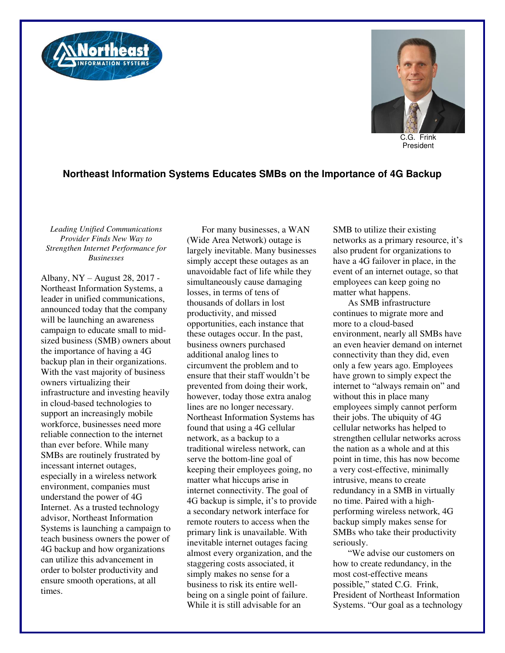



C.G. Frink President

## **Northeast Information Systems Educates SMBs on the Importance of 4G Backup**

*Leading Unified Communications Provider Finds New Way to Strengthen Internet Performance for Businesses* 

Albany, NY – August 28, 2017 - Northeast Information Systems, a leader in unified communications, announced today that the company will be launching an awareness campaign to educate small to midsized business (SMB) owners about the importance of having a 4G backup plan in their organizations. With the vast majority of business owners virtualizing their infrastructure and investing heavily in cloud-based technologies to support an increasingly mobile workforce, businesses need more reliable connection to the internet than ever before. While many SMBs are routinely frustrated by incessant internet outages, especially in a wireless network environment, companies must understand the power of 4G Internet. As a trusted technology advisor, Northeast Information Systems is launching a campaign to teach business owners the power of 4G backup and how organizations can utilize this advancement in order to bolster productivity and ensure smooth operations, at all times.

For many businesses, a WAN (Wide Area Network) outage is largely inevitable. Many businesses simply accept these outages as an unavoidable fact of life while they simultaneously cause damaging losses, in terms of tens of thousands of dollars in lost productivity, and missed opportunities, each instance that these outages occur. In the past, business owners purchased additional analog lines to circumvent the problem and to ensure that their staff wouldn't be prevented from doing their work, however, today those extra analog lines are no longer necessary. Northeast Information Systems has found that using a 4G cellular network, as a backup to a traditional wireless network, can serve the bottom-line goal of keeping their employees going, no matter what hiccups arise in internet connectivity. The goal of 4G backup is simple, it's to provide a secondary network interface for remote routers to access when the primary link is unavailable. With inevitable internet outages facing almost every organization, and the staggering costs associated, it simply makes no sense for a business to risk its entire wellbeing on a single point of failure. While it is still advisable for an

SMB to utilize their existing networks as a primary resource, it's also prudent for organizations to have a 4G failover in place, in the event of an internet outage, so that employees can keep going no matter what happens.

As SMB infrastructure continues to migrate more and more to a cloud-based environment, nearly all SMBs have an even heavier demand on internet connectivity than they did, even only a few years ago. Employees have grown to simply expect the internet to "always remain on" and without this in place many employees simply cannot perform their jobs. The ubiquity of 4G cellular networks has helped to strengthen cellular networks across the nation as a whole and at this point in time, this has now become a very cost-effective, minimally intrusive, means to create redundancy in a SMB in virtually no time. Paired with a highperforming wireless network, 4G backup simply makes sense for SMBs who take their productivity seriously.

"We advise our customers on how to create redundancy, in the most cost-effective means possible," stated C.G. Frink, President of Northeast Information Systems. "Our goal as a technology